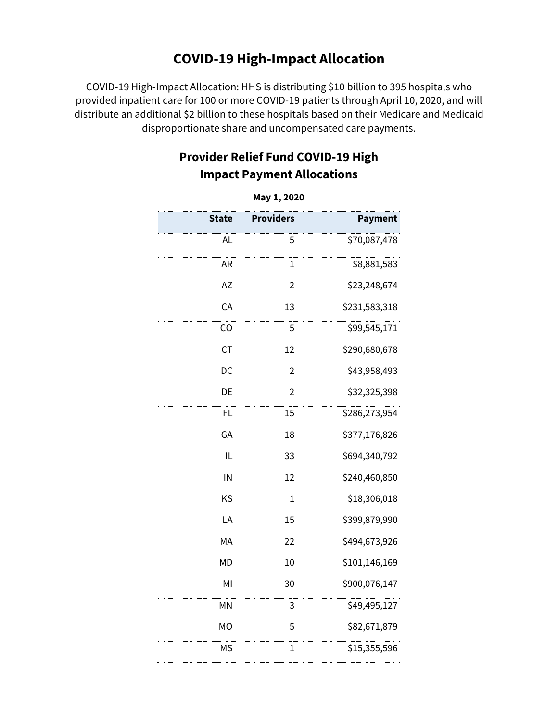# **COVID-19 High-Impact Allocation**

COVID-19 High-Impact Allocation: HHS is distributing \$10 billion to 395 hospitals who provided inpatient care for 100 or more COVID-19 patients through April 10, 2020, and will distribute an additional \$2 billion to these hospitals based on their Medicare and Medicaid disproportionate share and uncompensated care payments.

|              | <b>Provider Relief Fund COVID-19 High</b><br><b>Impact Payment Allocations</b> |                |  |  |  |
|--------------|--------------------------------------------------------------------------------|----------------|--|--|--|
| May 1, 2020  |                                                                                |                |  |  |  |
| <b>State</b> | <b>Providers</b>                                                               | <b>Payment</b> |  |  |  |
| <b>AL</b>    | 5                                                                              | \$70,087,478   |  |  |  |
| <b>AR</b>    | 1                                                                              | \$8,881,583    |  |  |  |
| AZ           | 2                                                                              | \$23,248,674   |  |  |  |
| CA           | 13                                                                             | \$231,583,318  |  |  |  |
| CO           | 5                                                                              | \$99,545,171   |  |  |  |
| <b>CT</b>    | 12                                                                             | \$290,680,678  |  |  |  |
| DC           | $\overline{2}$                                                                 | \$43,958,493   |  |  |  |
| DE           | 2                                                                              | \$32,325,398   |  |  |  |
| FL           | 15                                                                             | \$286,273,954  |  |  |  |
| GA           | 18                                                                             | \$377,176,826  |  |  |  |
| IL           | 33                                                                             | \$694,340,792  |  |  |  |
| IN           | 12                                                                             | \$240,460,850  |  |  |  |
| KS           | $\mathbf{1}$                                                                   | \$18,306,018   |  |  |  |
| LA           | 15                                                                             | \$399,879,990  |  |  |  |
| MA           | 22                                                                             | \$494,673,926  |  |  |  |
| <b>MD</b>    | 10                                                                             | \$101,146,169  |  |  |  |
| MI           | 30                                                                             | \$900,076,147  |  |  |  |
| MN           | 3                                                                              | \$49,495,127   |  |  |  |
| МO           | 5                                                                              | \$82,671,879   |  |  |  |
| МS           | 1                                                                              | \$15,355,596   |  |  |  |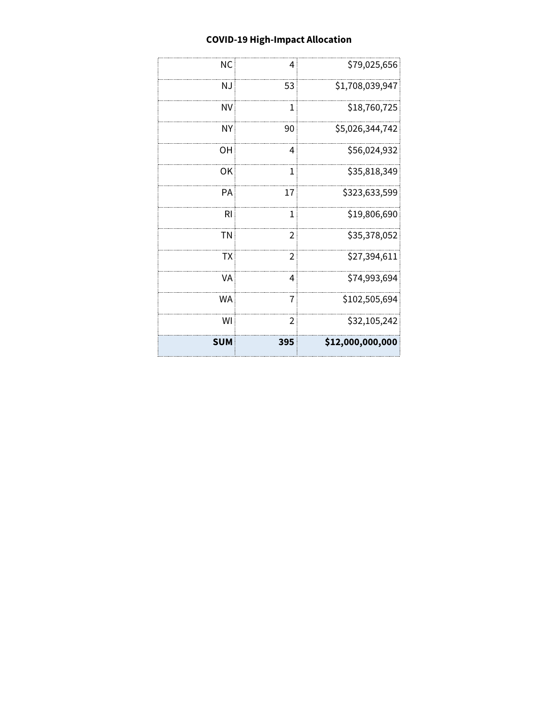### **COVID-19 High-Impact Allocation**

| $\overline{2}$<br>$\overline{2}$<br>4<br>7<br>2 | \$35,378,052<br>\$27,394,611<br>\$74,993,694<br>\$102,505,694<br>\$32,105,242 |
|-------------------------------------------------|-------------------------------------------------------------------------------|
|                                                 |                                                                               |
|                                                 |                                                                               |
|                                                 |                                                                               |
|                                                 |                                                                               |
|                                                 |                                                                               |
| 1                                               | \$19,806,690                                                                  |
| 17                                              | \$323,633,599                                                                 |
| 1                                               | \$35,818,349                                                                  |
| 4                                               | \$56,024,932                                                                  |
| 90                                              | \$5,026,344,742                                                               |
| 1                                               | \$18,760,725                                                                  |
| 53                                              | \$1,708,039,947                                                               |
| 4                                               | \$79,025,656                                                                  |
|                                                 |                                                                               |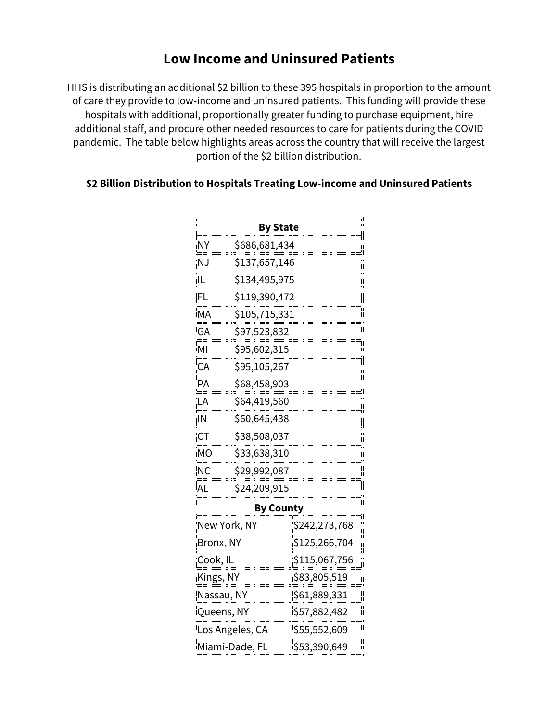## **Low Income and Uninsured Patients**

HHS is distributing an additional \$2 billion to these 395 hospitals in proportion to the amount of care they provide to low-income and uninsured patients. This funding will provide these hospitals with additional, proportionally greater funding to purchase equipment, hire additional staff, and procure other needed resources to care for patients during the COVID pandemic. The table below highlights areas across the country that will receive the largest portion of the \$2 billion distribution.

#### **\$2 Billion Distribution to Hospitals Treating Low-income and Uninsured Patients**

| By State                |               |               |  |  |
|-------------------------|---------------|---------------|--|--|
| <br>\$686,681,434<br>NΥ |               |               |  |  |
| <br>N.J                 | \$137,657,146 |               |  |  |
|                         | \$134,495,975 |               |  |  |
| FI                      | \$119,390,472 |               |  |  |
| MА                      | \$105,715,331 |               |  |  |
| GA                      | \$97,523,832  |               |  |  |
| мı                      | \$95,602,315  |               |  |  |
| CА<br>                  | \$95,105,267  |               |  |  |
| PА                      | \$68,458,903  |               |  |  |
| LA                      | \$64,419,560  |               |  |  |
| IN                      | \$60,645,438  |               |  |  |
| СT                      | \$38,508,037  |               |  |  |
| мo                      | \$33,638,310  |               |  |  |
| NС<br>.                 | \$29,992,087  |               |  |  |
| ΑI                      | \$24,209,915  |               |  |  |
| By County               |               |               |  |  |
| New York, NY            |               | \$242,273,768 |  |  |
| Bronx, NY               |               |               |  |  |
| Cook, IL                |               | \$115,067,756 |  |  |
| <u>Kings, NY</u>        |               | \$83,805,519  |  |  |
| <u>Nassau, NY</u>       |               | \$61,889,331  |  |  |
| Queens, NY              |               | \$57,882,482  |  |  |
| Los Angeles, CA         |               | \$55,552,609  |  |  |
| Miami-Dade, Fl          |               | \$53,390,649  |  |  |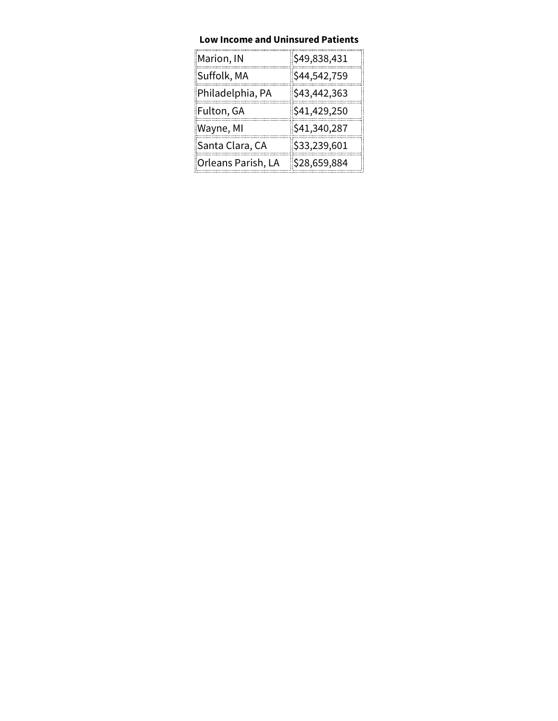#### **Low Income and Uninsured Patients**

| Marion, IN         | \$49,838,431 |
|--------------------|--------------|
| Suffolk, MA        | \$44,542,759 |
| Philadelphia, PA   | \$43,442,363 |
| Fulton, GA         | \$41,429,250 |
| Wayne, MI          | \$41,340,287 |
| Santa Clara, CA    | \$33,239,601 |
| Orleans Parish, LA | \$28,659,884 |